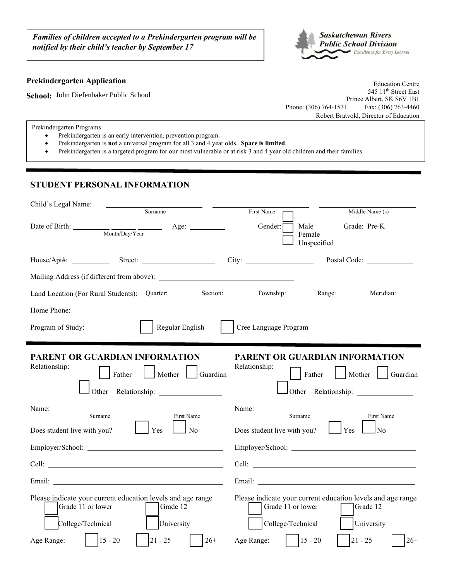*Families of children accepted to a Prekindergarten program will be notified by their child's teacher by September 17*



## **Prekindergarten Application**

**School:** John Diefenbaker Public School

Education Centre 545 11<sup>th</sup> Street East Prince Albert, SK S6V 1B1 Phone: (306) 764-1571 Fax: (306) 763-4460 Robert Bratvold, Director of Education

Prekindergarten Programs

- Prekindergarten is an early intervention, prevention program.
- Prekindergarten is **not** a universal program for all 3 and 4 year olds. **Space is limited**.
- Prekindergarten is a targeted program for our most vulnerable or at risk 3 and 4 year old children and their families.

## **STUDENT PERSONAL INFORMATION**

|                                                                                                                                                                                                                                |                                                      |                                                                                                                                                                                                                                | Child's Legal Name:                                                          |
|--------------------------------------------------------------------------------------------------------------------------------------------------------------------------------------------------------------------------------|------------------------------------------------------|--------------------------------------------------------------------------------------------------------------------------------------------------------------------------------------------------------------------------------|------------------------------------------------------------------------------|
| First Name<br>Middle Name (s)                                                                                                                                                                                                  |                                                      | Surname                                                                                                                                                                                                                        |                                                                              |
| Grade: Pre-K<br>Male<br>Female<br>Unspecified                                                                                                                                                                                  | Gender:                                              | Age: $\qquad \qquad$                                                                                                                                                                                                           | Date of Birth: $\frac{1}{\text{Month/Day/Y}}$ $\frac{1}{\text{earth/Day/Y}}$ |
|                                                                                                                                                                                                                                |                                                      |                                                                                                                                                                                                                                |                                                                              |
|                                                                                                                                                                                                                                |                                                      |                                                                                                                                                                                                                                |                                                                              |
| Meridian: _____                                                                                                                                                                                                                |                                                      | Land Location (For Rural Students): Quarter: ________ Section: _______ Township: ______ Range: _____                                                                                                                           |                                                                              |
|                                                                                                                                                                                                                                |                                                      |                                                                                                                                                                                                                                | Home Phone:                                                                  |
|                                                                                                                                                                                                                                | Cree Language Program                                | Regular English                                                                                                                                                                                                                | Program of Study:                                                            |
| PARENT OR GUARDIAN INFORMATION<br>Father<br>Mother   Guardian                                                                                                                                                                  | Relationship:                                        | PARENT OR GUARDIAN INFORMATION<br>Father<br>Mother   Guardian                                                                                                                                                                  | Relationship:                                                                |
| First Name<br>Surname                                                                                                                                                                                                          | Name:                                                | First Name                                                                                                                                                                                                                     | Name:<br>Surname                                                             |
| $Yes \Box$<br>$\sqrt{N_0}$                                                                                                                                                                                                     | Does student live with you?                          | $\Gamma$ Yes<br>$\Box$ No                                                                                                                                                                                                      | Does student live with you?                                                  |
| Employer/School:                                                                                                                                                                                                               |                                                      | Employer/School:                                                                                                                                                                                                               |                                                                              |
| Cell: Letter and the contract of the contract of the contract of the contract of the contract of the contract of the contract of the contract of the contract of the contract of the contract of the contract of the contract  |                                                      | Cell: <u>Celling</u>                                                                                                                                                                                                           |                                                                              |
| Email: The contract of the contract of the contract of the contract of the contract of the contract of the contract of the contract of the contract of the contract of the contract of the contract of the contract of the con |                                                      | Email: The contract of the contract of the contract of the contract of the contract of the contract of the contract of the contract of the contract of the contract of the contract of the contract of the contract of the con |                                                                              |
| Please indicate your current education levels and age range<br>Grade 12<br>University<br>$15 - 20$<br>$21 - 25$<br>$26+$                                                                                                       | Grade 11 or lower<br>College/Technical<br>Age Range: | Please indicate your current education levels and age range<br>Grade 12<br>University<br>$15 - 20$<br>$21 - 25$<br>$26+$                                                                                                       | Grade 11 or lower<br>College/Technical                                       |
|                                                                                                                                                                                                                                |                                                      |                                                                                                                                                                                                                                |                                                                              |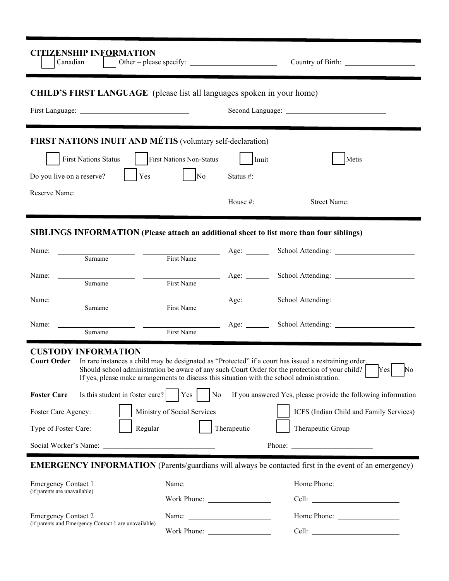| <b>CITIZENSHIP INFORMATION</b><br>Canadian                                                                                                                                                                                                                                                                                                                              |                                                          |              |                                                                                                                                                                                                                                                                                                                                                                                                              |  |  |  |  |
|-------------------------------------------------------------------------------------------------------------------------------------------------------------------------------------------------------------------------------------------------------------------------------------------------------------------------------------------------------------------------|----------------------------------------------------------|--------------|--------------------------------------------------------------------------------------------------------------------------------------------------------------------------------------------------------------------------------------------------------------------------------------------------------------------------------------------------------------------------------------------------------------|--|--|--|--|
| <b>CHILD'S FIRST LANGUAGE</b> (please list all languages spoken in your home)                                                                                                                                                                                                                                                                                           |                                                          |              |                                                                                                                                                                                                                                                                                                                                                                                                              |  |  |  |  |
|                                                                                                                                                                                                                                                                                                                                                                         |                                                          |              |                                                                                                                                                                                                                                                                                                                                                                                                              |  |  |  |  |
| FIRST NATIONS INUIT AND MÉTIS (voluntary self-declaration)                                                                                                                                                                                                                                                                                                              |                                                          |              |                                                                                                                                                                                                                                                                                                                                                                                                              |  |  |  |  |
| <b>First Nations Status</b>                                                                                                                                                                                                                                                                                                                                             | First Nations Non-Status                                 | Inuit        | Metis                                                                                                                                                                                                                                                                                                                                                                                                        |  |  |  |  |
| Do you live on a reserve?<br>Yes                                                                                                                                                                                                                                                                                                                                        | $\sqrt{\text{No}}$                                       |              | Status #: $\qquad \qquad$                                                                                                                                                                                                                                                                                                                                                                                    |  |  |  |  |
| Reserve Name:<br><u> 1989 - Johann Barn, mars ann an t-Amhain ann an t-Amhain an t-Amhain an t-Amhain an t-Amhain an t-Amhain an t-</u>                                                                                                                                                                                                                                 |                                                          | House $\#$ : | Street Name:                                                                                                                                                                                                                                                                                                                                                                                                 |  |  |  |  |
| <b>SIBLINGS INFORMATION (Please attach an additional sheet to list more than four siblings)</b>                                                                                                                                                                                                                                                                         |                                                          |              |                                                                                                                                                                                                                                                                                                                                                                                                              |  |  |  |  |
| Name:<br>Surname                                                                                                                                                                                                                                                                                                                                                        | First Name                                               |              | Age: School Attending:                                                                                                                                                                                                                                                                                                                                                                                       |  |  |  |  |
| Name:<br>Surname                                                                                                                                                                                                                                                                                                                                                        | First Name                                               |              | Age: School Attending:                                                                                                                                                                                                                                                                                                                                                                                       |  |  |  |  |
| Name: $\frac{ }{ }$<br>Surname                                                                                                                                                                                                                                                                                                                                          | First Name                                               |              |                                                                                                                                                                                                                                                                                                                                                                                                              |  |  |  |  |
| Name:<br>Surname                                                                                                                                                                                                                                                                                                                                                        | First Name                                               |              | Age: School Attending: 2000                                                                                                                                                                                                                                                                                                                                                                                  |  |  |  |  |
| <b>CUSTODY INFORMATION</b><br>In rare instances a child may be designated as "Protected" if a court has issued a restraining order.<br><b>Court Order</b><br>Yes<br>No<br>Should school administration be aware of any such Court Order for the protection of your child?<br>If yes, please make arrangements to discuss this situation with the school administration. |                                                          |              |                                                                                                                                                                                                                                                                                                                                                                                                              |  |  |  |  |
| Is this student in foster care?<br><b>Foster Care</b>                                                                                                                                                                                                                                                                                                                   | Yes<br>N <sub>o</sub>                                    |              | If you answered Yes, please provide the following information                                                                                                                                                                                                                                                                                                                                                |  |  |  |  |
| Foster Care Agency:                                                                                                                                                                                                                                                                                                                                                     | Ministry of Social Services                              |              | ICFS (Indian Child and Family Services)                                                                                                                                                                                                                                                                                                                                                                      |  |  |  |  |
| Regular<br>Type of Foster Care:                                                                                                                                                                                                                                                                                                                                         |                                                          | Therapeutic  | Therapeutic Group                                                                                                                                                                                                                                                                                                                                                                                            |  |  |  |  |
|                                                                                                                                                                                                                                                                                                                                                                         |                                                          |              | Phone: $\frac{1}{\sqrt{1-\frac{1}{2}}\sqrt{1-\frac{1}{2}}\sqrt{1-\frac{1}{2}}\sqrt{1-\frac{1}{2}}\sqrt{1-\frac{1}{2}}\sqrt{1-\frac{1}{2}}\sqrt{1-\frac{1}{2}}\sqrt{1-\frac{1}{2}}\sqrt{1-\frac{1}{2}}\sqrt{1-\frac{1}{2}}\sqrt{1-\frac{1}{2}}\sqrt{1-\frac{1}{2}}\sqrt{1-\frac{1}{2}}\sqrt{1-\frac{1}{2}}\sqrt{1-\frac{1}{2}}\sqrt{1-\frac{1}{2}}\sqrt{1-\frac{1}{2}}\sqrt{1-\frac{1}{2}}\sqrt{1-\frac{1}{2$ |  |  |  |  |
|                                                                                                                                                                                                                                                                                                                                                                         |                                                          |              | <b>EMERGENCY INFORMATION</b> (Parents/guardians will always be contacted first in the event of an emergency)                                                                                                                                                                                                                                                                                                 |  |  |  |  |
| <b>Emergency Contact 1</b>                                                                                                                                                                                                                                                                                                                                              |                                                          |              |                                                                                                                                                                                                                                                                                                                                                                                                              |  |  |  |  |
| (if parents are unavailable)                                                                                                                                                                                                                                                                                                                                            |                                                          |              |                                                                                                                                                                                                                                                                                                                                                                                                              |  |  |  |  |
| <b>Emergency Contact 2</b>                                                                                                                                                                                                                                                                                                                                              | Name: $\frac{1}{\sqrt{1-\frac{1}{2}} \cdot \frac{1}{2}}$ |              |                                                                                                                                                                                                                                                                                                                                                                                                              |  |  |  |  |
| (if parents and Emergency Contact 1 are unavailable)                                                                                                                                                                                                                                                                                                                    |                                                          |              |                                                                                                                                                                                                                                                                                                                                                                                                              |  |  |  |  |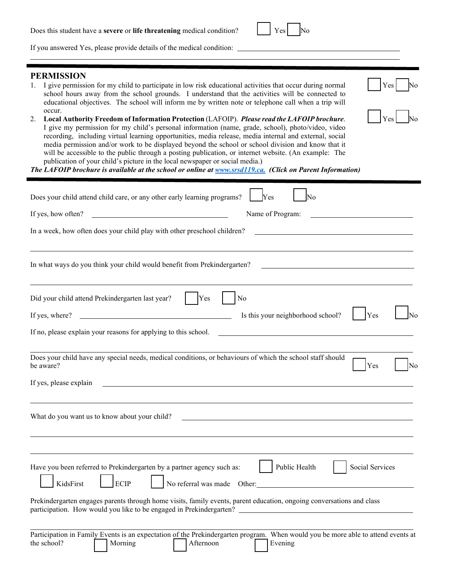| Does this student have a severe or life threatening medical condition? | $ Y_{es} $ No |  |  |
|------------------------------------------------------------------------|---------------|--|--|
|------------------------------------------------------------------------|---------------|--|--|

If you answered Yes, please provide details of the medical condition:

## **PERMISSION**

1. I give permission for my child to participate in low risk educational activities that occur during normal school hours away from the school grounds. I understand that the activities will be connected to educational objectives. The school will inform me by written note or telephone call when a trip will occur.

Yes

Yes

2. **Local Authority Freedom of Information Protection** (LAFOIP). *Please read the LAFOIP brochure*. I give my permission for my child's personal information (name, grade, school), photo/video, video recording, including virtual learning opportunities, media release, media internal and external, social media permission and/or work to be displayed beyond the school or school division and know that it will be accessible to the public through a posting publication, or internet website. (An example: The publication of your child's picture in the local newspaper or social media.)

*The LAFOIP brochure is available at the school or online at [www.srsd119.ca.](http://www.srsd119.ca./) (Click on Parent Information)*

| Does your child attend child care, or any other early learning programs?<br>Yes<br>No                                                                                                                                                                                                          |
|------------------------------------------------------------------------------------------------------------------------------------------------------------------------------------------------------------------------------------------------------------------------------------------------|
| Name of Program:<br>If yes, how often?<br><u> Liste de la construcción de la construcción de la construcción de la construcción de la construcción de la c</u>                                                                                                                                 |
| In a week, how often does your child play with other preschool children?                                                                                                                                                                                                                       |
| In what ways do you think your child would benefit from Prekindergarten?<br><u> 1989 - Johann Stein, fransk politik en og den som forskellige og det s</u>                                                                                                                                     |
| Yes<br>No<br>Did your child attend Prekindergarten last year?                                                                                                                                                                                                                                  |
| Is this your neighborhood school?<br>Yes<br>If yes, where?<br>Nο<br><u> 1989 - Johann Barbara, martin amerikan basar dan basa dan basar dan basar dalam basa dalam basa dalam dalam b</u>                                                                                                      |
| If no, please explain your reasons for applying to this school.                                                                                                                                                                                                                                |
| Does your child have any special needs, medical conditions, or behaviours of which the school staff should<br>Yes<br>No<br>be aware?<br>If yes, please explain                                                                                                                                 |
| What do you want us to know about your child?                                                                                                                                                                                                                                                  |
| Have you been referred to Prekindergarten by a partner agency such as:<br>Public Health<br>Social Services<br>No referral was made Other:<br><b>ECIP</b><br>KidsFirst<br>Prekindergarten engages parents through home visits, family events, parent education, ongoing conversations and class |
| Participation in Family Events is an expectation of the Prekindergarten program. When would you be more able to attend events at<br>the school?<br>Morning<br>Afternoon<br>Evening                                                                                                             |